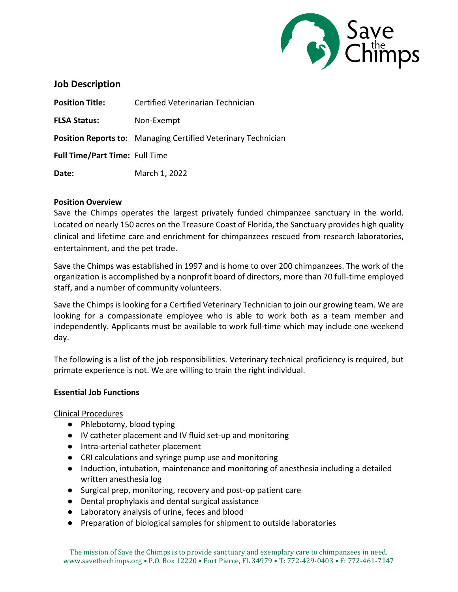

# **Job Description**

| <b>Position Title:</b>                | Certified Veterinarian Technician                                    |
|---------------------------------------|----------------------------------------------------------------------|
| <b>FLSA Status:</b>                   | Non-Exempt                                                           |
|                                       | <b>Position Reports to:</b> Managing Certified Veterinary Technician |
| <b>Full Time/Part Time: Full Time</b> |                                                                      |
| Date:                                 | March 1, 2022                                                        |

### **Position Overview**

Save the Chimps operates the largest privately funded chimpanzee sanctuary in the world. Located on nearly 150 acres on the Treasure Coast of Florida, the Sanctuary provides high quality clinical and lifetime care and enrichment for chimpanzees rescued from research laboratories, entertainment, and the pet trade.

Save the Chimps was established in 1997 and is home to over 200 chimpanzees. The work of the organization is accomplished by a nonprofit board of directors, more than 70 full-time employed staff, and a number of community volunteers.

Save the Chimps is looking for a Certified Veterinary Technician to join our growing team. We are looking for a compassionate employee who is able to work both as a team member and independently. Applicants must be available to work full-time which may include one weekend day.

The following is a list of the job responsibilities. Veterinary technical proficiency is required, but primate experience is not. We are willing to train the right individual.

### **Essential Job Functions**

Clinical Procedures

- Phlebotomy, blood typing
- IV catheter placement and IV fluid set-up and monitoring
- Intra-arterial catheter placement
- CRI calculations and syringe pump use and monitoring
- Induction, intubation, maintenance and monitoring of anesthesia including a detailed written anesthesia log
- Surgical prep, monitoring, recovery and post-op patient care
- Dental prophylaxis and dental surgical assistance
- Laboratory analysis of urine, feces and blood
- Preparation of biological samples for shipment to outside laboratories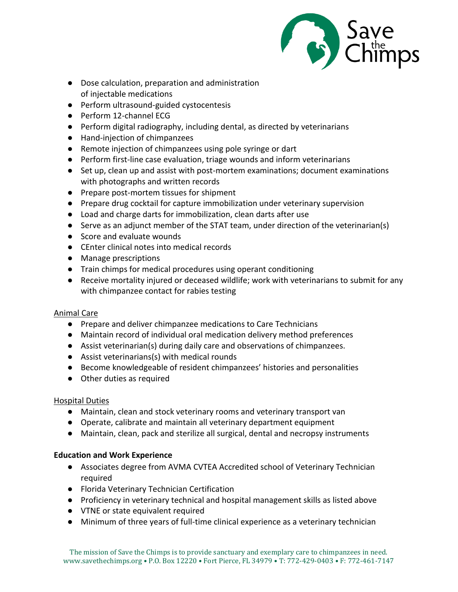

- Dose calculation, preparation and administration of injectable medications
- Perform ultrasound-guided cystocentesis
- Perform 12-channel ECG
- Perform digital radiography, including dental, as directed by veterinarians
- Hand-injection of chimpanzees
- Remote injection of chimpanzees using pole syringe or dart
- Perform first-line case evaluation, triage wounds and inform veterinarians
- Set up, clean up and assist with post-mortem examinations; document examinations with photographs and written records
- Prepare post-mortem tissues for shipment
- Prepare drug cocktail for capture immobilization under veterinary supervision
- Load and charge darts for immobilization, clean darts after use
- Serve as an adjunct member of the STAT team, under direction of the veterinarian(s)
- Score and evaluate wounds
- CEnter clinical notes into medical records
- Manage prescriptions
- Train chimps for medical procedures using operant conditioning
- Receive mortality injured or deceased wildlife; work with veterinarians to submit for any with chimpanzee contact for rabies testing

# Animal Care

- Prepare and deliver chimpanzee medications to Care Technicians
- Maintain record of individual oral medication delivery method preferences
- Assist veterinarian(s) during daily care and observations of chimpanzees.
- Assist veterinarians(s) with medical rounds
- Become knowledgeable of resident chimpanzees' histories and personalities
- Other duties as required

# Hospital Duties

- Maintain, clean and stock veterinary rooms and veterinary transport van
- Operate, calibrate and maintain all veterinary department equipment
- Maintain, clean, pack and sterilize all surgical, dental and necropsy instruments

# **Education and Work Experience**

- Associates degree from AVMA CVTEA Accredited school of Veterinary Technician required
- Florida Veterinary Technician Certification
- Proficiency in veterinary technical and hospital management skills as listed above
- VTNE or state equivalent required
- Minimum of three years of full-time clinical experience as a veterinary technician